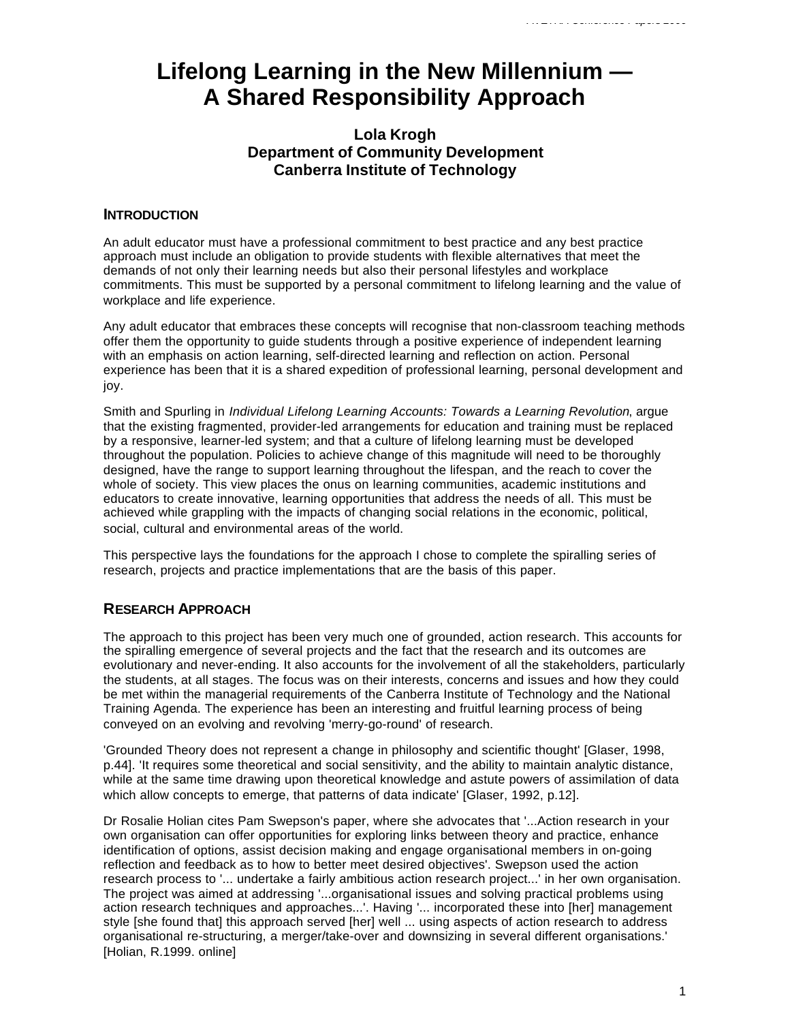# **Lifelong Learning in the New Millennium — A Shared Responsibility Approach**

## **Lola Krogh Department of Community Development Canberra Institute of Technology**

## **INTRODUCTION**

An adult educator must have a professional commitment to best practice and any best practice approach must include an obligation to provide students with flexible alternatives that meet the demands of not only their learning needs but also their personal lifestyles and workplace commitments. This must be supported by a personal commitment to lifelong learning and the value of workplace and life experience.

Any adult educator that embraces these concepts will recognise that non-classroom teaching methods offer them the opportunity to guide students through a positive experience of independent learning with an emphasis on action learning, self-directed learning and reflection on action. Personal experience has been that it is a shared expedition of professional learning, personal development and joy.

Smith and Spurling in *Individual Lifelong Learning Accounts: Towards a Learning Revolution*, argue that the existing fragmented, provider-led arrangements for education and training must be replaced by a responsive, learner-led system; and that a culture of lifelong learning must be developed throughout the population. Policies to achieve change of this magnitude will need to be thoroughly designed, have the range to support learning throughout the lifespan, and the reach to cover the whole of society. This view places the onus on learning communities, academic institutions and educators to create innovative, learning opportunities that address the needs of all. This must be achieved while grappling with the impacts of changing social relations in the economic, political, social, cultural and environmental areas of the world.

This perspective lays the foundations for the approach I chose to complete the spiralling series of research, projects and practice implementations that are the basis of this paper.

## **RESEARCH APPROACH**

The approach to this project has been very much one of grounded, action research. This accounts for the spiralling emergence of several projects and the fact that the research and its outcomes are evolutionary and never-ending. It also accounts for the involvement of all the stakeholders, particularly the students, at all stages. The focus was on their interests, concerns and issues and how they could be met within the managerial requirements of the Canberra Institute of Technology and the National Training Agenda. The experience has been an interesting and fruitful learning process of being conveyed on an evolving and revolving 'merry-go-round' of research.

'Grounded Theory does not represent a change in philosophy and scientific thought' [Glaser, 1998, p.44]. 'It requires some theoretical and social sensitivity, and the ability to maintain analytic distance, while at the same time drawing upon theoretical knowledge and astute powers of assimilation of data which allow concepts to emerge, that patterns of data indicate' [Glaser, 1992, p.12].

Dr Rosalie Holian cites Pam Swepson's paper, where she advocates that '...Action research in your own organisation can offer opportunities for exploring links between theory and practice, enhance identification of options, assist decision making and engage organisational members in on-going reflection and feedback as to how to better meet desired objectives'. Swepson used the action research process to '... undertake a fairly ambitious action research project...' in her own organisation. The project was aimed at addressing '...organisational issues and solving practical problems using action research techniques and approaches...'. Having '... incorporated these into [her] management style [she found that] this approach served [her] well ... using aspects of action research to address organisational re-structuring, a merger/take-over and downsizing in several different organisations.' [Holian, R.1999. online]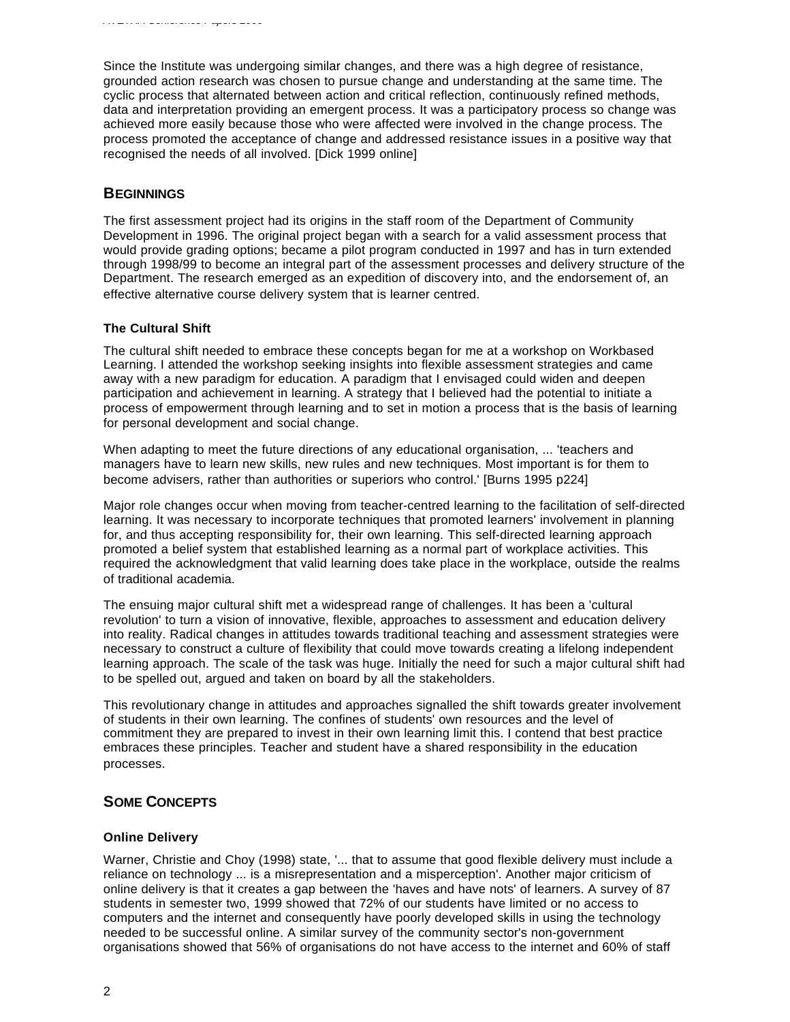Since the Institute was undergoing similar changes, and there was a high degree of resistance, grounded action research was chosen to pursue change and understanding at the same time. The cyclic process that alternated between action and critical reflection, continuously refined methods, data and interpretation providing an emergent process. It was a participatory process so change was achieved more easily because those who were affected were involved in the change process. The process promoted the acceptance of change and addressed resistance issues in a positive way that recognised the needs of all involved. [Dick 1999 online]

## **BEGINNINGS**

The first assessment project had its origins in the staff room of the Department of Community Development in 1996. The original project began with a search for a valid assessment process that would provide grading options; became a pilot program conducted in 1997 and has in turn extended through 1998/99 to become an integral part of the assessment processes and delivery structure of the Department. The research emerged as an expedition of discovery into, and the endorsement of, an effective alternative course delivery system that is learner centred.

#### **The Cultural Shift**

The cultural shift needed to embrace these concepts began for me at a workshop on Workbased Learning. I attended the workshop seeking insights into flexible assessment strategies and came away with a new paradigm for education. A paradigm that I envisaged could widen and deepen participation and achievement in learning. A strategy that I believed had the potential to initiate a process of empowerment through learning and to set in motion a process that is the basis of learning for personal development and social change.

When adapting to meet the future directions of any educational organisation, ... 'teachers and managers have to learn new skills, new rules and new techniques. Most important is for them to become advisers, rather than authorities or superiors who control.' [Burns 1995 p224]

Major role changes occur when moving from teacher-centred learning to the facilitation of self-directed learning. It was necessary to incorporate techniques that promoted learners' involvement in planning for, and thus accepting responsibility for, their own learning. This self-directed learning approach promoted a belief system that established learning as a normal part of workplace activities. This required the acknowledgment that valid learning does take place in the workplace, outside the realms of traditional academia.

The ensuing major cultural shift met a widespread range of challenges. It has been a 'cultural revolution' to turn a vision of innovative, flexible, approaches to assessment and education delivery into reality. Radical changes in attitudes towards traditional teaching and assessment strategies were necessary to construct a culture of flexibility that could move towards creating a lifelong independent learning approach. The scale of the task was huge. Initially the need for such a major cultural shift had to be spelled out, argued and taken on board by all the stakeholders.

This revolutionary change in attitudes and approaches signalled the shift towards greater involvement of students in their own learning. The confines of students' own resources and the level of commitment they are prepared to invest in their own learning limit this. I contend that best practice embraces these principles. Teacher and student have a shared responsibility in the education processes.

## **SOME CONCEPTS**

#### **Online Delivery**

Warner, Christie and Choy (1998) state, '... that to assume that good flexible delivery must include a reliance on technology ... is a misrepresentation and a misperception'. Another major criticism of online delivery is that it creates a gap between the 'haves and have nots' of learners. A survey of 87 students in semester two, 1999 showed that 72% of our students have limited or no access to computers and the internet and consequently have poorly developed skills in using the technology needed to be successful online. A similar survey of the community sector's non-government organisations showed that 56% of organisations do not have access to the internet and 60% of staff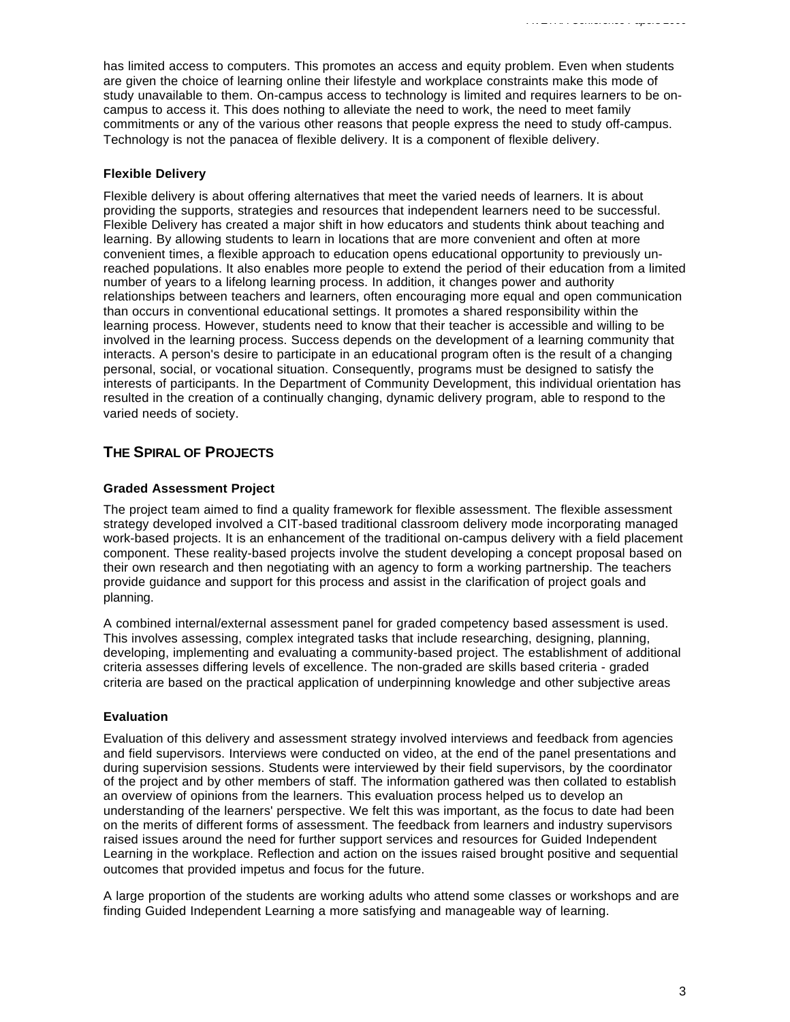has limited access to computers. This promotes an access and equity problem. Even when students are given the choice of learning online their lifestyle and workplace constraints make this mode of study unavailable to them. On-campus access to technology is limited and requires learners to be oncampus to access it. This does nothing to alleviate the need to work, the need to meet family commitments or any of the various other reasons that people express the need to study off-campus. Technology is not the panacea of flexible delivery. It is a component of flexible delivery.

#### **Flexible Delivery**

Flexible delivery is about offering alternatives that meet the varied needs of learners. It is about providing the supports, strategies and resources that independent learners need to be successful. Flexible Delivery has created a major shift in how educators and students think about teaching and learning. By allowing students to learn in locations that are more convenient and often at more convenient times, a flexible approach to education opens educational opportunity to previously unreached populations. It also enables more people to extend the period of their education from a limited number of years to a lifelong learning process. In addition, it changes power and authority relationships between teachers and learners, often encouraging more equal and open communication than occurs in conventional educational settings. It promotes a shared responsibility within the learning process. However, students need to know that their teacher is accessible and willing to be involved in the learning process. Success depends on the development of a learning community that interacts. A person's desire to participate in an educational program often is the result of a changing personal, social, or vocational situation. Consequently, programs must be designed to satisfy the interests of participants. In the Department of Community Development, this individual orientation has resulted in the creation of a continually changing, dynamic delivery program, able to respond to the varied needs of society.

## **THE SPIRAL OF PROJECTS**

#### **Graded Assessment Project**

The project team aimed to find a quality framework for flexible assessment. The flexible assessment strategy developed involved a CIT-based traditional classroom delivery mode incorporating managed work-based projects. It is an enhancement of the traditional on-campus delivery with a field placement component. These reality-based projects involve the student developing a concept proposal based on their own research and then negotiating with an agency to form a working partnership. The teachers provide guidance and support for this process and assist in the clarification of project goals and planning.

A combined internal/external assessment panel for graded competency based assessment is used. This involves assessing, complex integrated tasks that include researching, designing, planning, developing, implementing and evaluating a community-based project. The establishment of additional criteria assesses differing levels of excellence. The non-graded are skills based criteria - graded criteria are based on the practical application of underpinning knowledge and other subjective areas

#### **Evaluation**

Evaluation of this delivery and assessment strategy involved interviews and feedback from agencies and field supervisors. Interviews were conducted on video, at the end of the panel presentations and during supervision sessions. Students were interviewed by their field supervisors, by the coordinator of the project and by other members of staff. The information gathered was then collated to establish an overview of opinions from the learners. This evaluation process helped us to develop an understanding of the learners' perspective. We felt this was important, as the focus to date had been on the merits of different forms of assessment. The feedback from learners and industry supervisors raised issues around the need for further support services and resources for Guided Independent Learning in the workplace. Reflection and action on the issues raised brought positive and sequential outcomes that provided impetus and focus for the future.

A large proportion of the students are working adults who attend some classes or workshops and are finding Guided Independent Learning a more satisfying and manageable way of learning.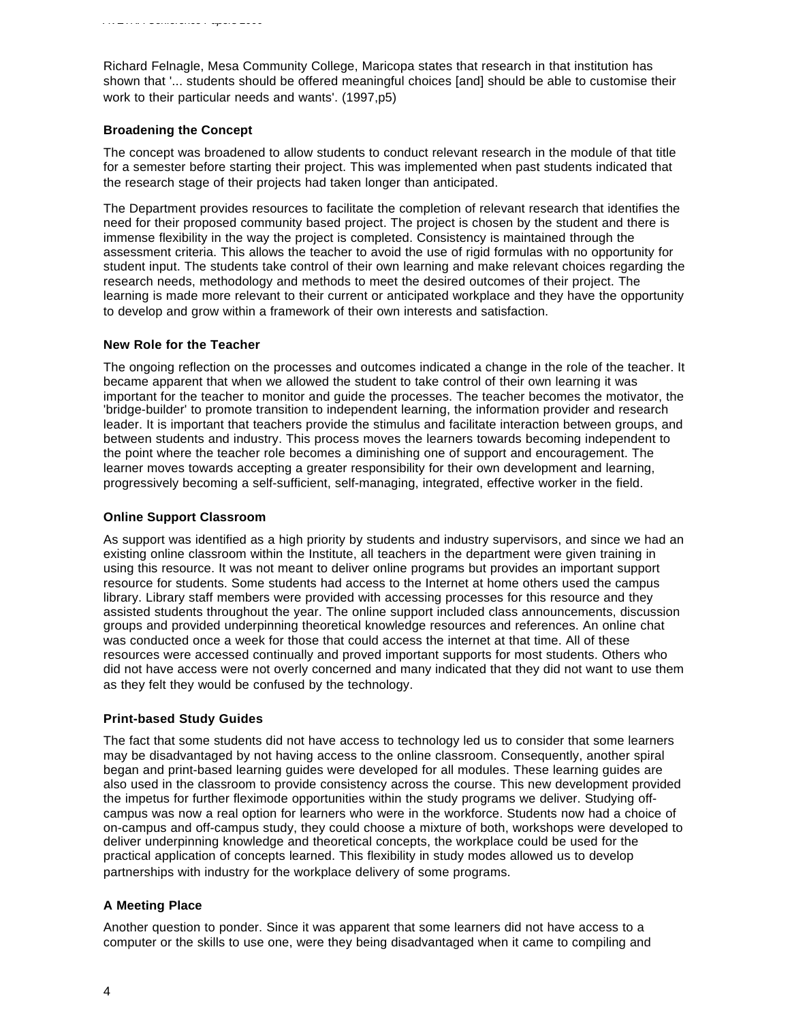Richard Felnagle, Mesa Community College, Maricopa states that research in that institution has shown that '... students should be offered meaningful choices [and] should be able to customise their work to their particular needs and wants'. (1997,p5)

#### **Broadening the Concept**

The concept was broadened to allow students to conduct relevant research in the module of that title for a semester before starting their project. This was implemented when past students indicated that the research stage of their projects had taken longer than anticipated.

The Department provides resources to facilitate the completion of relevant research that identifies the need for their proposed community based project. The project is chosen by the student and there is immense flexibility in the way the project is completed. Consistency is maintained through the assessment criteria. This allows the teacher to avoid the use of rigid formulas with no opportunity for student input. The students take control of their own learning and make relevant choices regarding the research needs, methodology and methods to meet the desired outcomes of their project. The learning is made more relevant to their current or anticipated workplace and they have the opportunity to develop and grow within a framework of their own interests and satisfaction.

#### **New Role for the Teacher**

The ongoing reflection on the processes and outcomes indicated a change in the role of the teacher. It became apparent that when we allowed the student to take control of their own learning it was important for the teacher to monitor and guide the processes. The teacher becomes the motivator, the 'bridge-builder' to promote transition to independent learning, the information provider and research leader. It is important that teachers provide the stimulus and facilitate interaction between groups, and between students and industry. This process moves the learners towards becoming independent to the point where the teacher role becomes a diminishing one of support and encouragement. The learner moves towards accepting a greater responsibility for their own development and learning, progressively becoming a self-sufficient, self-managing, integrated, effective worker in the field.

#### **Online Support Classroom**

As support was identified as a high priority by students and industry supervisors, and since we had an existing online classroom within the Institute, all teachers in the department were given training in using this resource. It was not meant to deliver online programs but provides an important support resource for students. Some students had access to the Internet at home others used the campus library. Library staff members were provided with accessing processes for this resource and they assisted students throughout the year. The online support included class announcements, discussion groups and provided underpinning theoretical knowledge resources and references. An online chat was conducted once a week for those that could access the internet at that time. All of these resources were accessed continually and proved important supports for most students. Others who did not have access were not overly concerned and many indicated that they did not want to use them as they felt they would be confused by the technology.

#### **Print-based Study Guides**

The fact that some students did not have access to technology led us to consider that some learners may be disadvantaged by not having access to the online classroom. Consequently, another spiral began and print-based learning guides were developed for all modules. These learning guides are also used in the classroom to provide consistency across the course. This new development provided the impetus for further fleximode opportunities within the study programs we deliver. Studying offcampus was now a real option for learners who were in the workforce. Students now had a choice of on-campus and off-campus study, they could choose a mixture of both, workshops were developed to deliver underpinning knowledge and theoretical concepts, the workplace could be used for the practical application of concepts learned. This flexibility in study modes allowed us to develop partnerships with industry for the workplace delivery of some programs.

#### **A Meeting Place**

Another question to ponder. Since it was apparent that some learners did not have access to a computer or the skills to use one, were they being disadvantaged when it came to compiling and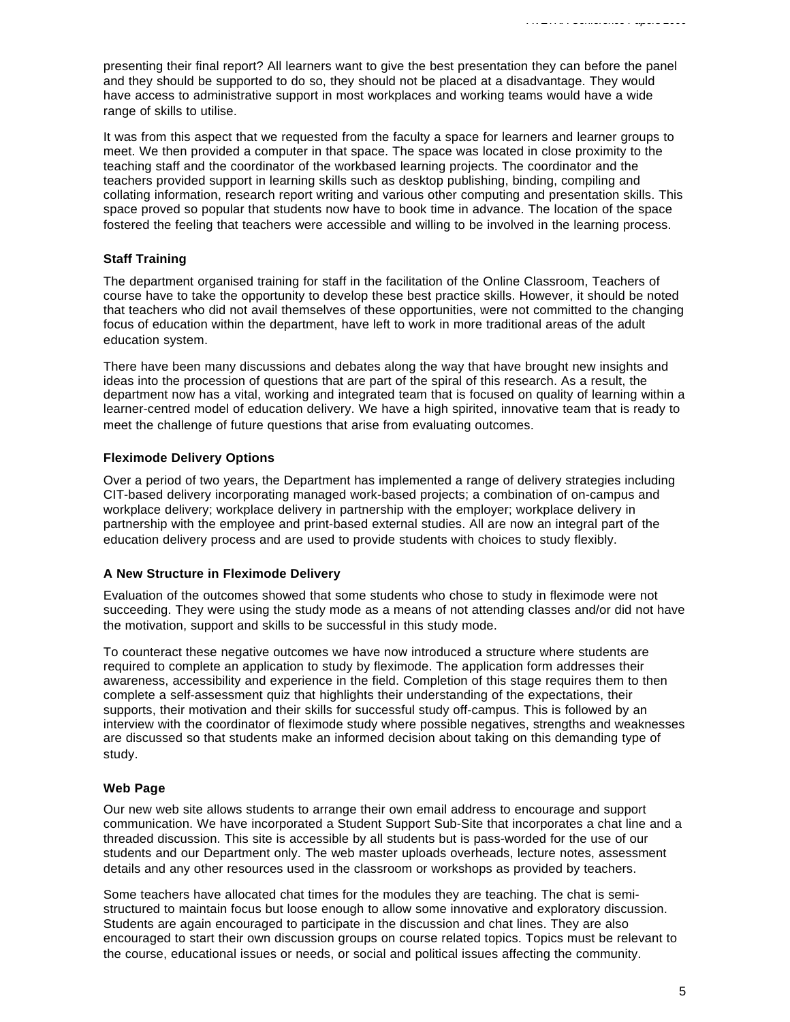presenting their final report? All learners want to give the best presentation they can before the panel and they should be supported to do so, they should not be placed at a disadvantage. They would have access to administrative support in most workplaces and working teams would have a wide range of skills to utilise.

It was from this aspect that we requested from the faculty a space for learners and learner groups to meet. We then provided a computer in that space. The space was located in close proximity to the teaching staff and the coordinator of the workbased learning projects. The coordinator and the teachers provided support in learning skills such as desktop publishing, binding, compiling and collating information, research report writing and various other computing and presentation skills. This space proved so popular that students now have to book time in advance. The location of the space fostered the feeling that teachers were accessible and willing to be involved in the learning process.

## **Staff Training**

The department organised training for staff in the facilitation of the Online Classroom, Teachers of course have to take the opportunity to develop these best practice skills. However, it should be noted that teachers who did not avail themselves of these opportunities, were not committed to the changing focus of education within the department, have left to work in more traditional areas of the adult education system.

There have been many discussions and debates along the way that have brought new insights and ideas into the procession of questions that are part of the spiral of this research. As a result, the department now has a vital, working and integrated team that is focused on quality of learning within a learner-centred model of education delivery. We have a high spirited, innovative team that is ready to meet the challenge of future questions that arise from evaluating outcomes.

## **Fleximode Delivery Options**

Over a period of two years, the Department has implemented a range of delivery strategies including CIT-based delivery incorporating managed work-based projects; a combination of on-campus and workplace delivery; workplace delivery in partnership with the employer; workplace delivery in partnership with the employee and print-based external studies. All are now an integral part of the education delivery process and are used to provide students with choices to study flexibly.

#### **A New Structure in Fleximode Delivery**

Evaluation of the outcomes showed that some students who chose to study in fleximode were not succeeding. They were using the study mode as a means of not attending classes and/or did not have the motivation, support and skills to be successful in this study mode.

To counteract these negative outcomes we have now introduced a structure where students are required to complete an application to study by fleximode. The application form addresses their awareness, accessibility and experience in the field. Completion of this stage requires them to then complete a self-assessment quiz that highlights their understanding of the expectations, their supports, their motivation and their skills for successful study off-campus. This is followed by an interview with the coordinator of fleximode study where possible negatives, strengths and weaknesses are discussed so that students make an informed decision about taking on this demanding type of study.

#### **Web Page**

Our new web site allows students to arrange their own email address to encourage and support communication. We have incorporated a Student Support Sub-Site that incorporates a chat line and a threaded discussion. This site is accessible by all students but is pass-worded for the use of our students and our Department only. The web master uploads overheads, lecture notes, assessment details and any other resources used in the classroom or workshops as provided by teachers.

Some teachers have allocated chat times for the modules they are teaching. The chat is semistructured to maintain focus but loose enough to allow some innovative and exploratory discussion. Students are again encouraged to participate in the discussion and chat lines. They are also encouraged to start their own discussion groups on course related topics. Topics must be relevant to the course, educational issues or needs, or social and political issues affecting the community.